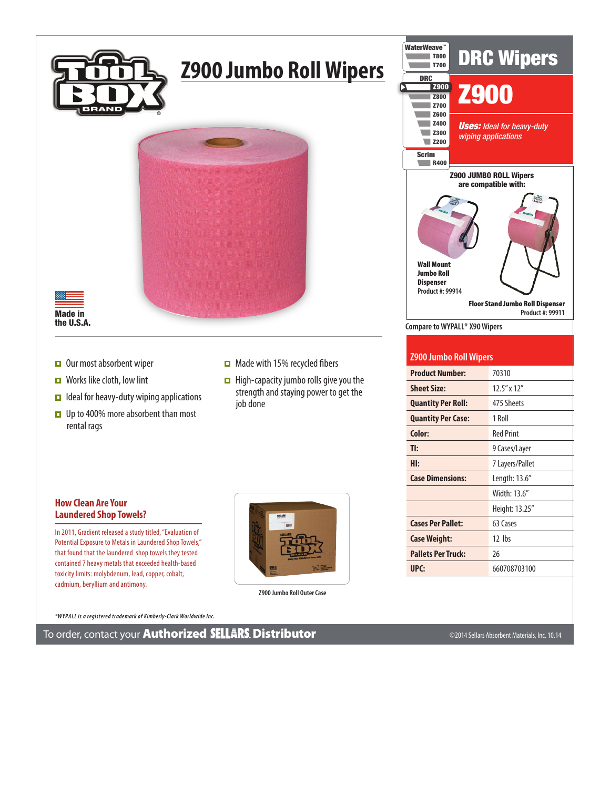

## **Z900 Jumbo Roll Wipers**



Made in the U.S.A.

- $\Box$  Our most absorbent wiper
- $\Box$  Works like cloth, low lint
- $\Box$  Ideal for heavy-duty wiping applications
- Up to 400% more absorbent than most rental rags
- $\Box$  Made with 15% recycled fibers
- $\Box$  High-capacity jumbo rolls give you the strength and staying power to get the job done

## **How Clean Are Your Laundered Shop Towels?**

In 2011, Gradient released a study titled, "Evaluation of Potential Exposure to Metals in Laundered Shop Towels," that found that the laundered shop towels they tested contained 7 heavy metals that exceeded health-based toxicity limits: molybdenum, lead, copper, cobalt, cadmium, beryllium and antimony.



**Z900 Jumbo Roll Outer Case**

*\*WYPALL is a registered trademark of Kimberly-Clark Worldwide Inc.*

To order, contact your Authorized Distributor ©2014 Sellars Absorbent Materials, Inc. 10.14



## **Z900 Jumbo Roll Wipers**

| <b>Product Number:</b>    | 70310             |
|---------------------------|-------------------|
| <b>Sheet Size:</b>        | $12.5''$ x $12''$ |
| <b>Quantity Per Roll:</b> | 475 Sheets        |
| <b>Quantity Per Case:</b> | 1 Roll            |
| Color:                    | <b>Red Print</b>  |
| TI:                       | 9 Cases/Layer     |
| Hl:                       | 7 Layers/Pallet   |
| <b>Case Dimensions:</b>   | Length: 13.6"     |
|                           | Width: 13.6"      |
|                           | Height: 13.25"    |
| <b>Cases Per Pallet:</b>  | 63 Cases          |
| <b>Case Weight:</b>       | 12 lbs            |
| <b>Pallets Per Truck:</b> | 26                |
| UPC:                      | 660708703100      |
|                           |                   |